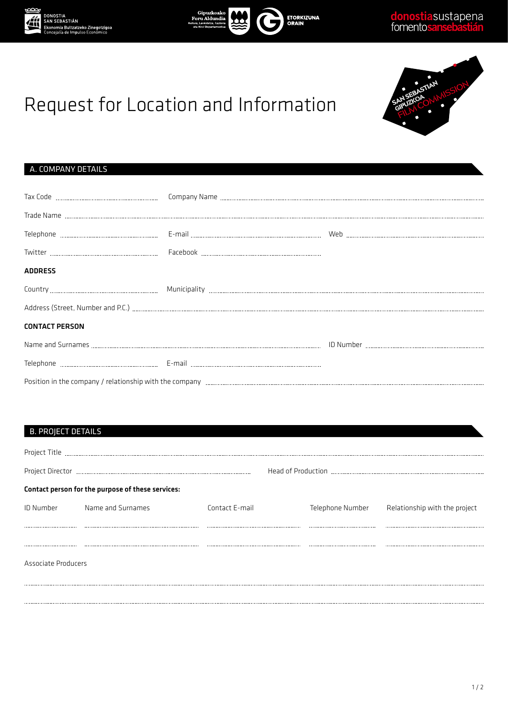





# Request for Location and Information

## A. COMPANY DETAILS

| <b>ADDRESS</b>        |  |  |  |  |  |  |
|-----------------------|--|--|--|--|--|--|
|                       |  |  |  |  |  |  |
|                       |  |  |  |  |  |  |
| <b>CONTACT PERSON</b> |  |  |  |  |  |  |
|                       |  |  |  |  |  |  |
|                       |  |  |  |  |  |  |
|                       |  |  |  |  |  |  |

## B. PROJECT DETAILS

| Project Title       |                                                   |                |                  |                               |  |
|---------------------|---------------------------------------------------|----------------|------------------|-------------------------------|--|
|                     |                                                   |                |                  |                               |  |
|                     | Contact person for the purpose of these services: |                |                  |                               |  |
| ID Number           | Name and Surnames                                 | Contact E-mail | Telephone Number | Relationship with the project |  |
|                     |                                                   |                |                  |                               |  |
|                     |                                                   |                |                  |                               |  |
| Associate Producers |                                                   |                |                  |                               |  |
|                     |                                                   |                |                  |                               |  |